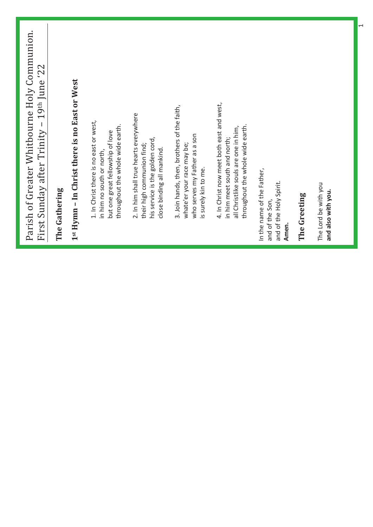| Parish of Greater Whitbourne Holy Communion.<br>First Sunday after Trinity - 19th June '22                                                            |
|-------------------------------------------------------------------------------------------------------------------------------------------------------|
| The Gathering                                                                                                                                         |
| 1st Hymn - In Christ there is no East or West                                                                                                         |
| 1. In Christ there is no east or west,<br>throughout the whole wide earth.<br>but one great fellowship of love<br>in him no south or north,           |
| 2. In him shall true hearts everywhere<br>his service is the golden cord,<br>their high communion find;<br>close binding all mankind.                 |
| 3. Join hands, then, brothers of the faith,<br>who serves my Father as a son<br>whate'er your race may be;<br>is surely kin to me.                    |
| 4. In Christ now meet both east and west,<br>throughout the whole wide earth.<br>all Christlike souls are one in him,<br>in him meet south and north; |
| In the name of the Father,<br>and of the Holy Spirit.<br>and of the Son,<br>Amen.                                                                     |
| The Greeting                                                                                                                                          |
| The Lord be with you<br>and also with you.                                                                                                            |
|                                                                                                                                                       |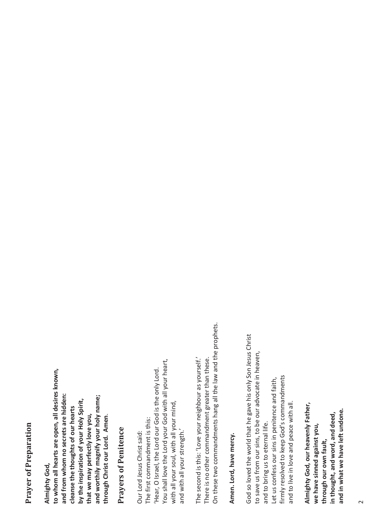#### **Prayer of Preparation Prayer of Preparation**

**to whom all hearts are open, all desires known,**  to whom all hearts are open, all desires known, **and from whom no secrets are hidden:**  and from whom no secrets are hidden: **and worthily magnify your holy name;**  and worthily magnify your holy name; **by the inspiration of your Holy Spirit,**  by the inspiration of your Holy Spirit, cleanse the thoughts of our hearts **cleanse the thoughts of our hearts**  that we may perfectly love you, **that we may perfectly love you,**  through Christ our Lord. Amen. **through Christ our Lord. Almighty God,**  Almighty God,

#### **Prayers of Penitence Prayers of Penitence**

You shall love the Lord your God with all your heart, You shall love the Lord your God with all your heart, 'Hear, O Israel, the Lord our God is the only Lord. 'Hear, O Israel, the Lord our God is the only Lord. with all your soul, with all your mind, with all your soul, with all your mind, The first commandment is this: The first commandment is this: and with all your strength.' and with all your strength.' Our Lord Jesus Christ said: Our Lord Jesus Christ said:

On these two commandments hang all the law and the prophets. On these two commandments hang all the law and the prophets. The second is this: 'Love your neighbour as yourself.' There is no other commandment greater than these. There is no other commandment greater than these. The second is this: 'Love your neighbour as yourself.'

#### Amen. Lord, have mercy. **Amen. Lord, have mercy.**

God so loved the world that he gave his only Son Jesus Christ God so loved the world that he gave his only Son Jesus Christ to save us from our sins, to be our advocate in heaven, to save us from our sins, to be our advocate in heaven, firmly resolved to keep God's commandments Let us confess our sins in penitence and faith, firmly resolved to keep God's commandments Let us confess our sins in penitence and faith, and to live in love and peace with all. and to live in love and peace with all and to bring us to eternal life. and to bring us to eternal life.

**Almighty God, our heavenly Father,**  Almighty God, our heavenly Father, **and in what we have left undone.** and in what we have left undone. in thought, and word, and deed, **in thought, and word, and deed, we have sinned against you,**  we have sinned against you, **through our own fault,**  through our own fault,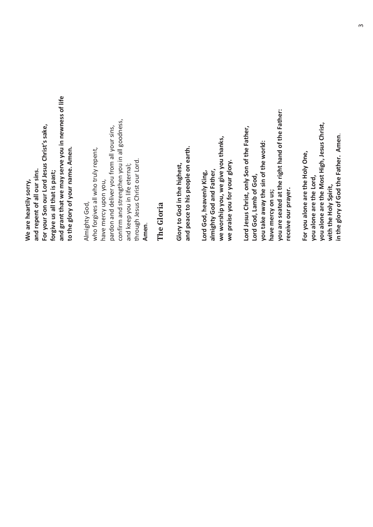and grant that we may serve you in newness of life **and grant that we may serve you in newness of life**  For your Son our Lord Jesus Christ's sake, **For your Son our Lord Jesus Christ's sake, to the glory of your name. Amen.**  to the glory of your name. Amen. **and repent of all our sins.**  and repent of all our sins. forgive us all that is past; **forgive us all that is past; We are heartily sorry,**  We are heartily sorry,

confirm and strengthen you in all goodness, confirm and strengthen you in all goodness, pardon and deliver you from all your sins, pardon and deliver you from all your sins, who forgives all who truly repent, who forgives all who truly repent, through Jesus Christ our Lord. through Jesus Christ our Lord. and keep you in life eternal; and keep you in life eternal; have mercy upon you, have mercy upon you, Almighty God, Almighty God, **Amen**.

#### **The Gloria**  The Gloria

**and peace to his people on earth.**  and peace to his people on earth. **Glory to God in the highest,**  Glory to God in the highest,

**we worship you, we give you thanks,**  we worship you, we give you thanks, **we praise you for your glory.**  we praise you for your glory. almighty God and Father, **almighty God and Father,**  Lord God, heavenly King, **Lord God, heavenly King,** 

**you are seated at the right hand of the Father:**  you are seated at the right hand of the Father: **Lord Jesus Christ, only Son of the Father,**  Lord Jesus Christ, only Son of the Father, **you take away the sin of the world:**  you take away the sin of the world: **Lord God, Lamb of God,**  Lord God, Lamb of God, **receive our prayer.**  receive our prayer. have mercy on us; **have mercy on us;** 

**you alone are the Most High, Jesus Christ,**  you alone are the Most High, Jesus Christ, **in the glory of God the Father. Amen**. in the glory of God the Father. Amen. For you alone are the Holy One, **For you alone are the Holy One, you alone are the Lord,**  you alone are the Lord, with the Holy Spirit, **with the Holy Spirit,**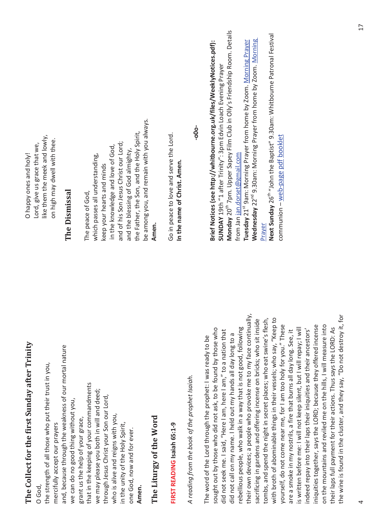# **The Collect for the first Sunday after Trinity**  The Collect for the first Sunday after Trinity

and, because through the weakness of our mortal nature and, because through the weakness of our mortal nature the strength of all those who put their trust in you, the strength of all those who put their trust in you, that in the keeping of your commandments that in the keeping of your commandments we may please you both in will and deed; we may please you both in will and deed; through Jesus Christ your Son our Lord, through Jesus Christ your Son our Lord, we can do no good thing without you, we can do no good thing without you who is alive and reigns with you, who is alive and reigns with you, grant us the help of your grace, grant us the help of your grace, in the unity of the Holy Spirit, mercifully accept our prayers mercifully accept our prayers in the unity of the Holy Spirit, one God, now and for ever. one God, now and for ever. **Amen.**  O God,

### **The Liturgy of the Word**  The Liturgy of the Word

#### **Isaiah 65:1-9**  FIRST READING Isaiah 65:1-9 **FIRST READING**

*A reading from the book of the prophet Isaiah.*  A reading from the book of the prophet Isaiah.

their own devices; a people who provoke me to my face continually, their own devices; a people who provoke me to my face continually, the wine is found in the cluster, and they say, "Do not destroy it, for the wine is found in the cluster, and they say, "Do not destroy it, forwith broth of abominable things in their vessels; who say, "Keep to sacrificing in gardens and offering incense on bricks; who sit inside sacrificing in gardens and offering incense on bricks; who sit inside with broth of abominable things in their vessels; who say, "Keep to tombs, and spend the night in secret places; who eat swine's flesh, tombs, and spend the night in secret places; who eat swine's flesh, yourself, do not come near me, for I am too holy for you." These iniquities together, says the LORD; because they offered incense on the mountains and reviled me on the hills, I will measure into on the mountains and reviled me on the hills, I will measure into iniquities together, says the LORD; because they offered incense yourself, do not come near me, for I am too holy for you." These rebellious people, who walk in a way that is not good, following rebellious people, who walk in a way that is not good, following is written before me: I will not keep silent, but I will repay; I will their laps full payment for their actions. Thus says the LORD: As their laps full payment for their actions. Thus says the LORD: As sought out by those who did not ask, to be found by those who sought out by those who did not ask, to be found by those who is written before me: I will not keep silent, but I will repay; I will are a smoke in my nostrils, a fire that burns all day long. See, it are a smoke in my nostrils, a fire that burns all day long. See, it indeed repay into their laps their iniquities and their ancestors' did not seek me. I said, "Here I am, here I am," to a nation that indeed repay into their laps their iniquities and their ancestors' did not seek me. I said, "Here I am, here I am," to a nation that did not call on my name. I held out my hands all day long to a did not call on my name. I held out my hands all day long to a The word of the Lord through the prophet: I was ready to be The word of the Lord through the prophet: I was ready to be

like them the meek and lowly, like them the meek and lowly, on high may dwell with thee. on high may dwell with thee. Lord, give us grace that we, Lord, give us grace that we, O happy ones and holy! O happy ones and holy!

#### **The Dismissal**  The Dismissal

be among you, and remain with you always. be among you, and remain with you always. the Father, the Son, and the Holy Spirit, the Father, the Son, and the Holy Spirit, and of his Son Jesus Christ our Lord; and of his Son Jesus Christ our Lord; in the knowledge and love of God, in the knowledge and love of God, and the blessing of God almighty, and the blessing of God almighty, which passes all understanding, which passes all understanding, keep your hearts and minds keep your hearts and minds The peace of God, The peace of God, **Amen.** 

Go in peace to love and serve the Lord. Go in peace to love and serve the Lord. **In the name of Christ. Amen.**  In the name of Christ. Amen.

**-o0o-**

**Monday** 20<sup>th</sup> 7pm. Upper Sapey Film Club in Olly's Friendship Room. Details Monday 20<sup>th</sup> 7pm. Upper Sapey Film Club in Olly's Friendship Room. Details **Brief Notices (see http://whitbourne.org.uk/files/WeeklyNotices.pdf):**  Brief Notices (see http://whitbourne.org.uk/files/WeeklyNotices.pdf): **SUNDAY 19th** "1 after Trinity": 3pm Edvin Loach Evening Prayer **SUNDAY** 19th "1 after Trinity": 3pm Edvin Loach Evening Prayer from Jan jan.dorset@gmail.com from Jan jan.dorset@gmail.com

**Wednesday** 22<sup>nd</sup> 9.30am: Morning Prayer from home by Zoom. Morning **Wednesday** 22<sup>nd</sup> 9.30am: Morning Prayer from home by Zoom. Morning Tuesday 21st 9am: Morning Prayer from home by Zoom. Morning Prayer **Tuesday** 21<sup>st</sup> 9am: Morning Prayer from home by Zoom. Morning Prayer

Prayer<br>**Next Sunday** 26<sup>th </sup>"John the Baptist" 9.30am: Whitbourne Patronal Festival **Next Sunday** 26<sup>th "J</sup>ohn the Baptist" 9.30am: Whitbourne Patronal Festival communion – web-page pdf booklet communion - web-page pdf booklet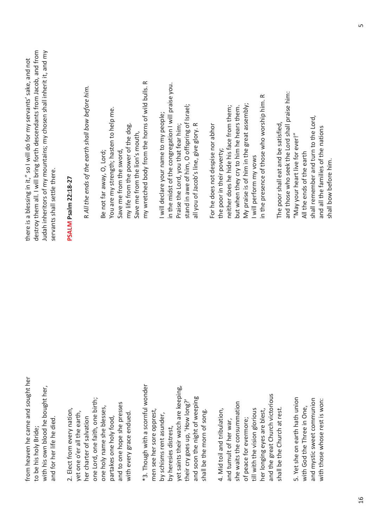| from heaven he came and sought her<br>with his own blood he bought her,<br>to be his holy Bride; | destroy them all. I will bring forth descendants from Jacob, and from<br>Judah inheritors of my mountains; my chosen shall inherit it, and my<br>there is a blessing in it," so I will do for my servants' sake, and not |
|--------------------------------------------------------------------------------------------------|--------------------------------------------------------------------------------------------------------------------------------------------------------------------------------------------------------------------------|
| and for her life he died.                                                                        | servants shall settle there.                                                                                                                                                                                             |
| 2. Elect from every nation,                                                                      | PSALM Psalm 22:18-27                                                                                                                                                                                                     |
| yet one o'er all the earth,                                                                      |                                                                                                                                                                                                                          |
| her charter of salvation                                                                         | R All the ends of the earth shall bow before him.                                                                                                                                                                        |
| one Lord, one faith, one birth;                                                                  |                                                                                                                                                                                                                          |
| one holy name she blesses,                                                                       | Be not far away, O, Lord;                                                                                                                                                                                                |
| partakes one holy food,                                                                          | You are my strength; hasten to help me.                                                                                                                                                                                  |
| and to one hope she presses                                                                      | Save me from the sword,                                                                                                                                                                                                  |
| with every grace endued.                                                                         | my life from the power of the dog.                                                                                                                                                                                       |
|                                                                                                  | Save me from the lion's mouth,                                                                                                                                                                                           |
| *3. Though with a scornful wonder                                                                | $\propto$<br>my wretched body from the horns of wild bulls.                                                                                                                                                              |
| men see her sore opprest,                                                                        |                                                                                                                                                                                                                          |
| by schisms rent asunder,                                                                         | I will declare your name to my people;                                                                                                                                                                                   |
| by heresies distrest,                                                                            | in the midst of the congregation I will praise you.                                                                                                                                                                      |
| yet saints their watch are keeping,                                                              | Praise the Lord, you that fear him;                                                                                                                                                                                      |
| their cry goes up, 'How long?                                                                    | stand in awe of him, O offspring of Israel;                                                                                                                                                                              |
| and soon the night of weeping                                                                    | all you of Jacob's line, give glory. R                                                                                                                                                                                   |
| shall be the morn of song                                                                        |                                                                                                                                                                                                                          |
|                                                                                                  | For he does not despise nor abhor                                                                                                                                                                                        |
| 4. Mid toil and tribulation,                                                                     | the poor in their poverty;                                                                                                                                                                                               |
| and tumult of her war,                                                                           | neither does he hide his face from them;                                                                                                                                                                                 |
| she waits the consummation                                                                       | but when they cry to him he hears them.                                                                                                                                                                                  |
| of peace for evermore;                                                                           | My praise is of him in the great assembly;                                                                                                                                                                               |
| till with the vision glorious                                                                    | I will perform my vows                                                                                                                                                                                                   |
| her longing eyes are blest,                                                                      | in the presence of those who worship him. R                                                                                                                                                                              |
| and the great Church victorious                                                                  |                                                                                                                                                                                                                          |
| shall be the Church at rest.                                                                     | The poor shall eat and be satisfied,                                                                                                                                                                                     |
|                                                                                                  | and those who seek the Lord shall praise him:                                                                                                                                                                            |
| 5. Yet she on earth hath union                                                                   | "May your heart live for ever!"                                                                                                                                                                                          |
| with God the Three in One,                                                                       | All the ends of the earth                                                                                                                                                                                                |
| and mystic sweet communion                                                                       | shall remember and turn to the Lord,                                                                                                                                                                                     |
| with those whose rest is won:                                                                    | and all the families of the nations                                                                                                                                                                                      |
|                                                                                                  | shall bow before him.                                                                                                                                                                                                    |
|                                                                                                  |                                                                                                                                                                                                                          |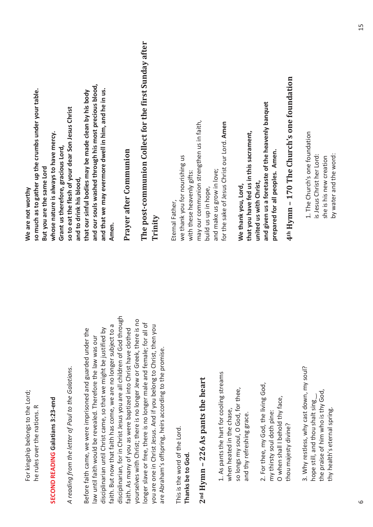| Lord;             | ≃                 |
|-------------------|-------------------|
| belongs to the I  | nations.          |
| r kingship<br>For | ie rules over the |

### **SECOND READING Galatians 3:23-end**  SECOND READING Galatians 3:23-end

*A reading from the letter of Paul to the Galatians.*  A reading from the letter of Paul to the Galatians.

disciplinarian, for in Christ Jesus you are all children of God through disciplinarian, for in Christ Jesus you are all children of God through yourselves with Christ; there is no longer Jew or Greek, there is no yourselves with Christ; there is no longer Jew or Greek, there is no longer slave or free, there is no longer male and female; for all of longer slave or free, there is no longer male and female; for all of faith. But now that faith has come, we are no longer subject to a faith. But now that faith has come, we are no longer subject to a you are one in Christ Jesus. And if you belong to Christ, then you you are one in Christ Jesus. And if you belong to Christ, then you disciplinarian until Christ came, so that we might be justified by Before faith came, we were imprisoned and guarded under the faith. As many of you as were baptized into Christ have clothed Before faith came, we were imprisoned and guarded under the disciplinarian until Christ came, so that we might be justified by faith. As many of you as were baptized into Christ have clothed law until faith would be revealed. Therefore the law was our aw until faith would be revealed. Therefore the law was our are Abraham's offspring, heirs according to the promise. are Abraham's offspring, heirs according to the promise.

This is the word of the Lord. This is the word of the Lord. **Thanks be to God.**  Thanks be to God.

## **2nd Hymn – 226 As pants the heart**  2<sup>nd</sup> Hymn - 226 As pants the heart

1. As pants the hart for cooling streams 1. As pants the hart for cooling streams so longs my soul, O God, for thee, so longs my soul, O God, for thee, when heated in the chase, when heated in the chase, and thy refreshing grace. and thy refreshing grace.

2. For thee, my God, the living God, 2. For thee, my God, the living God, O when shall I behold thy face, O when shall I behold thy face, my thirsty soul doth pine: my thirsty soul doth pine: thou majesty divine? thou majesty divine?

3. Why restless, why cast down, my soul? 3. Why restless, why cast down, my soul? the praise of him who is thy God, the praise of him who is thy God, hope still, and thou shalt sing $\cup$ hope still, and thou shalt sing thy health's eternal spring. thy health's eternal spring.

**and our souls washed through his most precious blood,**  and our souls washed through his most precious blood, **and that we may evermore dwell in him, and he in us. so much as to gather up the crumbs under your table.**  and that we may evermore dwell in him, and he in us. so much as to gather up the crumbs under your table. that our sinful bodies may be made clean by his body **that our sinful bodies may be made clean by his body so to eat the flesh of your dear Son Jesus Christ**  so to eat the flesh of your dear Son Jesus Christ **whose nature is always to have mercy.**  whose nature is always to have mercy. **Grant us therefore, gracious Lord,**  Grant us therefore, gracious Lord, **But you are the same Lord**  But you are the same Lord **and to drink his blood,**  and to drink his blood, **We are not worthy**  We are not worthy **Amen.** 

### **Prayer after Communion**  Prayer after Communion

## **The post-communion Collect for the first Sunday after**  The post-communion Collect for the first Sunday after **Trinity**

may our communion strengthen us in faith, may our communion strengthen us in faith, for the sake of Jesus Christ our Lord. **Amen**  for the sake of Jesus Christ our Lord. Amen we thank you for nourishing us we thank you for nourishing us and make us grow in love; with these heavenly gifts: and make us grow in love; with these heavenly gifts: build us up in hope, build us up in hope, Eternal Father, Eternal Father,

**and given us a foretaste of the heavenly banquet**  and given us a foretaste of the heavenly banquet **that you have fed us in this sacrament,**  that you have fed us in this sacrament, **prepared for all peoples. Amen.**  prepared for all peoples. Amen. united us with Christ, **united us with Christ,**  We thank you, Lord, **We thank you, Lord,** 

**4th Hymn – 170 The Church's one foundation**  4th Hymn - 170 The Church's one foundation

1. The Church's one foundation 1. The Church's one foundation by water and the word: is Jesus Christ her Lord: by water and the word: is Jesus Christ her Lord: she is his new creation she is his new creation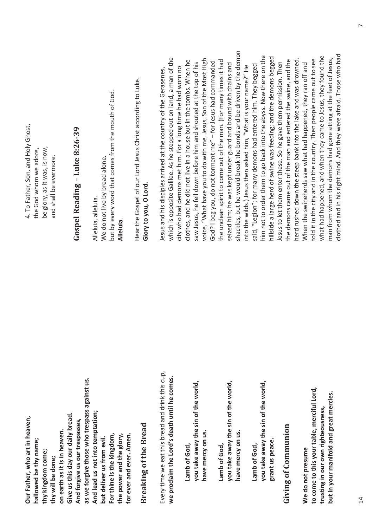| Our Father, who art in heaven,               |
|----------------------------------------------|
| hallowed be thy name;                        |
| thy kingdom come;                            |
| thy will be done;                            |
| on earth as it is in heaven.                 |
| Give us this day our daily bread.            |
| And forgive us our trespasses,               |
| as we forgive those who trespass against us. |
| And lead us not into temptation;             |
| but deliver us from evil.                    |
| For thine is the kingdom,                    |
| the power and the glory,                     |
| for ever and ever. Amen.                     |

#### **Breaking of the Bread Breaking of the Bread**

Every time we eat this bread and drink this cup, Every time we eat this bread and drink this cup,  **until he comes.**  we proclaim the Lord's death until he comes. **we proclaim the Lord's death**

**you take away the sin of the world,**  you take away the sin of the world, **have mercy on us.**  have mercy on us. Lamb of God, **Lamb of God,** 

**you take away the sin of the world,**  you take away the sin of the world, **have mercy on us.**  have mercy on us. Lamb of God, **Lamb of God,** 

**you take away the sin of the world,**  you take away the sin of the world, **grant us peace.**  grant us peace. Lamb of God, **Lamb of God,** 

#### **Giving of Communion**  Giving of Communion

**to come to this your table, merciful Lord,**  to come to this your table, merciful Lord, **but in your manifold and great mercies.** but in your manifold and great mercies. **trusting in our own righteousness,**  trusting in our own righteousness, We do not presume **We do not presume** 

4. To Father, Son, and Holy Ghost, 4. To Father, Son, and Holy Ghost, be glory, as it was, is now, be glory, as it was, is now, the God whom we adore, the God whom we adore, and shall be evermore. and shall be evermore.

### **Gospel Reading – Luke 8:26-39**  Gospel Reading - Luke 8:26-39

but by every word that comes from the mouth of God. but by every word that comes from the mouth of God. We do not live by bread alone, We do not live by bread alone, Alleluia, alleluia. Alleluia, alleluia. **Alleluia**.

Hear the Gospel of our Lord Jesus Christ according to Luke. Hear the Gospel of our Lord Jesus Christ according to Luke. **Glory to you, O Lord.**  Glory to you, O Lord.

shackles, but he would break the bonds and be driven by the demon shackles, but he would break the bonds and be driven by the demon clothed and in his right mind. And they were afraid. Those who had him not to order them to go back into the abyss. Now there on the what had happened, and when they came to Jesus, they found the clothed and in his right mind. And they were afraid. Those who had him not to order them to go back into the abyss. Now there on the hillside a large herd of swine was feeding; and the demons begged what had happened, and when they came to Jesus, they found the which is opposite Galilee. As he stepped out on land, a man of the hillside a large herd of swine was feeding; and the demons begged herd rushed down the steep bank into the lake and was drowned. man from whom the demons had gone sitting at the feet of Jesus, which is opposite Galilee. As he stepped out on land, a man of the the unclean spirit to come out of the man. (For many times it had cold it in the city and in the country. Then people came out to see told it in the city and in the country. Then people came out to see man from whom the demons had gone sitting at the feet of Jesus, clothes, and he did not live in a house but in the tombs. When he voice, "What have you to do with me, Jesus, Son of the Most High the demons came out of the man and entered the swine, and the nerd rushed down the steep bank into the lake and was drowned. voice, "What have you to do with me, Jesus, Son of the Most High God? I beg you, do not torment me" – for Jesus had commanded the unclean spirit to come out of the man. (For many times it had the demons came out of the man and entered the swine, and the clothes, and he did not live in a house but in the tombs. When he God? I beg you, do not torment me" - for Jesus had commanded Jesus to let them enter these. So he gave them permission. Then saw Jesus, he fell down before him and shouted at the top of his saw Jesus, he fell down before him and shouted at the top of his seized him; he was kept under guard and bound with chains and lesus to let them enter these. So he gave them permission. Then When the swineherds saw what had happened, they ran off and When the swineherds saw what had happened, they ran off and seized him; he was kept under guard and bound with chains and said, "Legion"; for many demons had entered him. They begged city who had demons met him. For a long time he had worn no nto the wilds.) Jesus then asked him, "What is your name?" He said, "Legion"; for many demons had entered him. They begged city who had demons met him. For a long time he had worn no Jesus and his disciples arrived at the country of the Gerasenes, into the wilds.) Jesus then asked him, "What is your name?" He lesus and his disciples arrived at the country of the Gerasenes,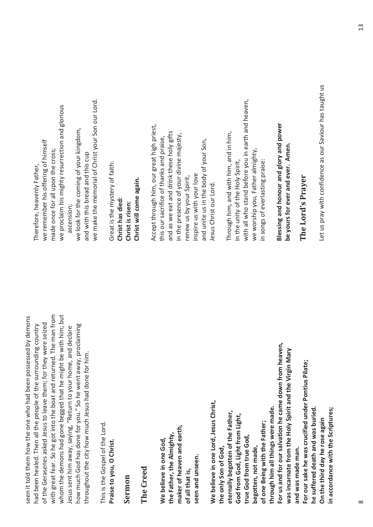with great fear. So he got into the boat and returned. The man from whom the demons had gone begged that he might be with him; but by demons with great fear. So he got into the boat and returned. The man from whom the demons had gone begged that he might be with him; but seen it told them how the one who had been possessed by demons of the Gerasenes asked Jesus to leave them; for they were seized of the Gerasenes asked Jesus to leave them; for they were seized had been healed. Then all the people of the surrounding country how much God has done for you." So he went away, proclaiming had been healed. Then all the people of the surrounding country how much God has done for you." So he went away, proclaiming esus sent him away, saying, "Return to your home, and declare Jesus sent him away, saying, "Return to your home, and declare seen it told them how the one who had been possessed throughout the city how much Jesus had done for him. throughout the city how much Jesus had done for him.

This is the Gospel of the Lord. This is the Gospel of the Lord. **Praise to you, O Christ.**  Praise to you, O Christ.

**Sermon** 

**The Creed**  The Creed

**maker of heaven and earth,**  maker of heaven and earth, **the Father, the Almighty,**  the Father, the Almighty, **We believe in one God,**  We believe in one God, **seen and unseen.**  seen and unseen. of all that is, **of all that is,** 

**For us and for our salvation he came down from heaven,**  For us and for our salvation he came down from heaven, **was incarnate from the Holy Spirit and the Virgin Mary**  was incarnate from the Holy Spirit and the Virgin Mary **For our sake he was crucified under Pontius Pilate;**  For our sake he was crucified under Pontius Pilate; **We believe in one Lord, Jesus Christ,**  We believe in one Lord, Jesus Christ, **through him all things were made. he suffered death and was buried.**  through him all things were made. **in accordance with the Scriptures;** he suffered death and was buried. n accordance with the Scriptures; **eternally begotten of the Father,**  eternally begotten of the Father, **God from God, Light from Light,**  God from God, Light from Light, **On the third day he rose again**  On the third day he rose again of one Being with the Father; **of one Being with the Father; true God from true God,**  rue God from true God, begotten, not made, **begotten, not made, the only Son of God,**  the only Son of God, and was made man. **and was made man.** 

we make the memorial of Christ your Son our Lord. we make the memorial of Christ your Son our Lord. we proclaim his mighty resurrection and glorious we proclaim his mighty resurrection and glorious we look for the coming of your kingdom, we look for the coming of your kingdom, we remember his offering of himself we remember his offering of himself made once for all upon the cross; made once for all upon the cross; and with this bread and this cup and with this bread and this cup Therefore, heavenly Father, Therefore, heavenly Father, ascension; ascension;

Great is the mystery of faith: Great is the mystery of faith: **Christ will come again.**  Christ will come again. **Christ has died:**  Christ has died: **Christ is risen:**  Christ is risen:

Accept through him, our great high priest, Accept through him, our great high priest, and as we eat and drink these holy gifts and as we eat and drink these holy gifts in the presence of your divine majesty, n the presence of your divine majesty, this our sacrifice of thanks and praise, this our sacrifice of thanks and praise. and unite us in the body of your Son, and unite us in the body of your Son, nspire us with your love inspire us with your love renew us by your Spirit, renew us by your Spirit, Jesus Christ our Lord. lesus Christ our Lord.

with all who stand before you in earth and heaven, with all who stand before you in earth and heaven, Through him, and with him, and in him, Through him, and with him, and in him, we worship you, Father almighty, we worship you, Father almighty, in songs of everlasting praise: in the unity of the Holy Spirit, n songs of everlasting praise: in the unity of the Holy Spirit,

**Blessing and honour and glory and power**  Blessing and honour and glory and power **be yours for ever and ever. Amen.**  be yours for ever and ever. Amen.

**The Lord's Prayer**  The Lord's Praver

Let us pray with confidence as our Saviour has taught us Let us pray with confidence as our Saviour has taught us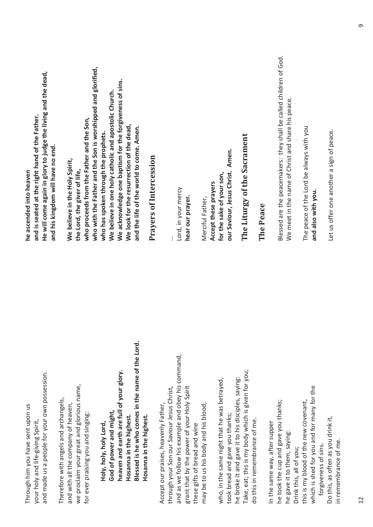| Through him you have sent upon us                  | he ascended into heaven                                            |
|----------------------------------------------------|--------------------------------------------------------------------|
| your holy and life-giving Spirit,                  | and is seated at the right hand of the Father.                     |
| and made us a people for your own possession.      | He will come again in glory to judge the living and the dead,      |
|                                                    | and his kingdom will have no end.                                  |
| Therefore with angels and archangels,              |                                                                    |
| and with all the company of heaven,                | We believe in the Holy Spirit,                                     |
| we proclaim your great and glorious name,          | the Lord, the giver of life,                                       |
| for ever praising you and singing:                 | who proceeds from the Father and the Son,                          |
|                                                    | who with the Father and the Son is worshipped and glorified,       |
| Holy, holy, holy Lord,                             | who has spoken through the prophets.                               |
| God of power and might,                            | We believe in one holy catholic and apostolic Church.              |
| heaven and earth are full of your glory.           | We acknowledge one baptism for the forgiveness of sins.            |
| Hosanna in the highest.                            | We look for the resurrection of the dead,                          |
| Blessed is he who comes in the name of the Lord.   | and the life of the world to come. Amen.                           |
| Hosanna in the highest.                            |                                                                    |
|                                                    | Prayers of Intercession                                            |
| Accept our praises, heavenly Father,               |                                                                    |
| through your Son our Saviour Jesus Christ,         |                                                                    |
| and as we follow his example and obey his command, | Lord, in your mercy                                                |
| grant that by the power of your Holy Spirit        | hear our prayer.                                                   |
| these gifts of bread and wine                      |                                                                    |
| may be to us his body and his blood;               | Merciful Father,                                                   |
|                                                    | Accept these prayers                                               |
| who, in the same night that he was betrayed,       | for the sake of your son,                                          |
| took bread and gave you thanks;                    | our Saviour, Jesus Christ. Amen.                                   |
| he broke it and gave it to his disciples, saying:  |                                                                    |
| Take, eat; this is my body which is given for you; | The Liturgy of the Sacrament                                       |
| do this in remembrance of me.                      |                                                                    |
|                                                    | The Peace                                                          |
| In the same way, after supper                      |                                                                    |
| he took the cup and gave you thanks;               | Blessed are the peacemakers: they shall be called children of God. |
| he gave it to them, saying:                        | We meet in the name of Christ and share his peace.                 |
| Drink this, all of you;                            |                                                                    |
| this is my blood of the new covenant,              | The peace of the Lord be always with you                           |
| which is shed for you and for many for the         | and also with you.                                                 |
| forgiveness of sins.                               |                                                                    |
| Do this, as often as you drink it,                 | Let us offer one another a sign of peace.                          |
| in remembrance of me.                              |                                                                    |